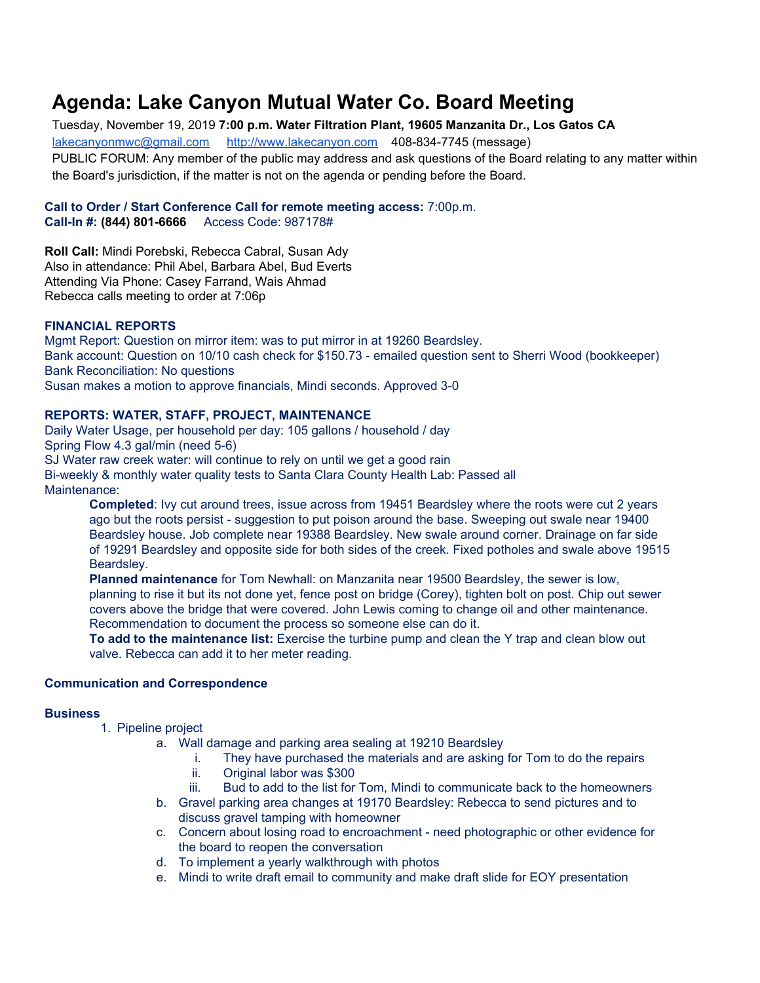# **Agenda: Lake Canyon Mutual Water Co. Board Meeting**

Tuesday, November 19, 2019 **7:00 p.m. Water Filtration Plant, 19605 Manzanita Dr., Los Gatos CA** [lakecanyonmwc@gmail.com](mailto:lakecanyonmwc@gmail.com) [http://www.lakecanyon.com](http://www.lakecanyon.com/) 408-834-7745 (message) PUBLIC FORUM: Any member of the public may address and ask questions of the Board relating to any matter within the Board's jurisdiction, if the matter is not on the agenda or pending before the Board.

#### **Call to Order / Start Conference Call for remote meeting access:** 7:00p.m. **Call-In #: (844) 801-6666** Access Code: 987178#

**Roll Call:** Mindi Porebski, Rebecca Cabral, Susan Ady Also in attendance: Phil Abel, Barbara Abel, Bud Everts Attending Via Phone: Casey Farrand, Wais Ahmad Rebecca calls meeting to order at 7:06p

#### **FINANCIAL REPORTS**

Mgmt Report: Question on mirror item: was to put mirror in at 19260 Beardsley. Bank account: Question on 10/10 cash check for \$150.73 - emailed question sent to Sherri Wood (bookkeeper) Bank Reconciliation: No questions Susan makes a motion to approve financials, Mindi seconds. Approved 3-0

## **REPORTS: WATER, STAFF, PROJECT, MAINTENANCE**

Daily Water Usage, per household per day: 105 gallons / household / day Spring Flow 4.3 gal/min (need 5-6) SJ Water raw creek water: will continue to rely on until we get a good rain Bi-weekly & monthly water quality tests to Santa Clara County Health Lab: Passed all Maintenance:

**Completed**: Ivy cut around trees, issue across from 19451 Beardsley where the roots were cut 2 years ago but the roots persist - suggestion to put poison around the base. Sweeping out swale near 19400 Beardsley house. Job complete near 19388 Beardsley. New swale around corner. Drainage on far side of 19291 Beardsley and opposite side for both sides of the creek. Fixed potholes and swale above 19515 Beardsley.

**Planned maintenance** for Tom Newhall: on Manzanita near 19500 Beardsley, the sewer is low, planning to rise it but its not done yet, fence post on bridge (Corey), tighten bolt on post. Chip out sewer covers above the bridge that were covered. John Lewis coming to change oil and other maintenance. Recommendation to document the process so someone else can do it.

**To add to the maintenance list:** Exercise the turbine pump and clean the Y trap and clean blow out valve. Rebecca can add it to her meter reading.

## **Communication and Correspondence**

#### **Business**

- 1. Pipeline project
	- a. Wall damage and parking area sealing at 19210 Beardsley
		- i. They have purchased the materials and are asking for Tom to do the repairs
		- ii. Original labor was \$300
		- iii. Bud to add to the list for Tom, Mindi to communicate back to the homeowners
	- b. Gravel parking area changes at 19170 Beardsley: Rebecca to send pictures and to discuss gravel tamping with homeowner
	- c. Concern about losing road to encroachment need photographic or other evidence for the board to reopen the conversation
	- d. To implement a yearly walkthrough with photos
	- e. Mindi to write draft email to community and make draft slide for EOY presentation